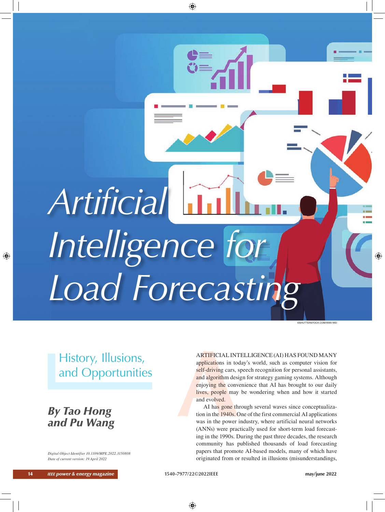*Artificial Intelligence for Load Forecasting*

# History, Illusions, and Opportunities

 *By Tao Hong and Pu Wang*

*Digital Object Identifier 10.1109/MPE.2022.3150808 Date of current version: 19 April 2022*

# ARTIFICIAL INTELLIGENCE (AI) HAS FOUND MANY

**EXAMPLE STATE ASSECT ASSECT ASSECT ASSECT AS A SCHAPED CONDUCT AND A SPOUND MANY**<br>applications in today's world, such as computer vision for<br>self-driving cars, speech recognition for personal assistants,<br>and algorithm des applications in today's world, such as computer vision for self-driving cars, speech recognition for personal assistants, and algorithm design for strategy gaming systems. Although enjoying the convenience that AI has brought to our daily lives, people may be wondering when and how it started and evolved.

AI has gone through several waves since conceptualization in the 1940s. One of the first commercial AI applications was in the power industry, where artificial neural networks (ANNs) were practically used for short-term load forecasting in the 1990s. During the past three decades, the research community has published thousands of load forecasting papers that promote AI-based models, many of which have originated from or resulted in illusions (misunderstandings,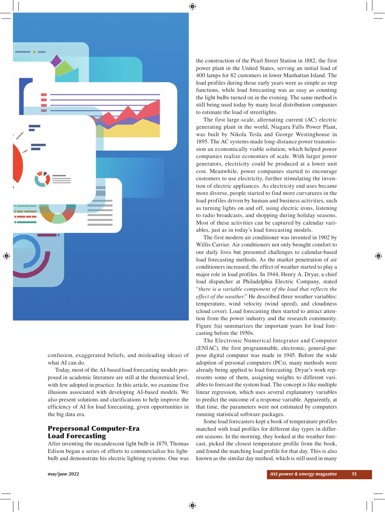

confusion, exaggerated beliefs, and misleading ideas) of what AI can do.

Today, most of the AI-based load forecasting models proposed in academic literature are still at the theoretical level, with few adopted in practice. In this article, we examine five illusions associated with developing AI-based models. We also present solutions and clarifications to help improve the efficiency of AI for load forecasting, given opportunities in the big data era.

# Prepersonal Computer-Era Load Forecasting

After inventing the incandescent light bulb in 1879, Thomas Edison began a series of efforts to commercialize his lightbulb and demonstrate his electric lighting systems. One was

the construction of the Pearl Street Station in 1882, the first power plant in the United States, serving an initial load of 400 lamps for 82 customers in lower Manhattan Island. The load profiles during those early years were as simple as step functions, while load forecasting was as easy as counting the light bulbs turned on in the evening. The same method is still being used today by many local distribution companies to estimate the load of streetlights.

The first large-scale, alternating current (AC) electric generating plant in the world, Niagara Falls Power Plant, was built by Nikola Tesla and George Westinghouse in 1895. The AC systems made long-distance power transmission an economically viable solution, which helped power companies realize economies of scale. With larger power generators, electricity could be produced at a lower unit cost. Meanwhile, power companies started to encourage customers to use electricity, further stimulating the invention of electric appliances. As electricity end uses became more diverse, people started to find more curvatures in the load profiles driven by human and business activities, such as turning lights on and off, using electric irons, listening to radio broadcasts, and shopping during holiday seasons. Most of these activities can be captured by calendar variables, just as in today's load forecasting models.

The first modern air conditioner was invented in 1902 by Willis Carrier. Air conditioners not only brought comfort to our daily lives but presented challenges to calendar-based load forecasting methods. As the market penetration of air conditioners increased, the effect of weather started to play a major role in load profiles. In 1944, Henry A. Dryar, a chief load dispatcher at Philadelphia Electric Company, stated "*there is a variable component of the load that reflects the effect of the weather*." He described three weather variables: temperature, wind velocity (wind speed), and cloudiness (cloud cover). Load forecasting then started to attract attention from the power industry and the research community. Figure 1(a) summarizes the important years for load forecasting before the 1950s.

The Electronic Numerical Integrator and Computer (ENIAC), the first programmable, electronic, general-purpose digital computer was made in 1945. Before the wide adoption of personal computers (PCs), many methods were already being applied to load forecasting. Dryar's work represents some of them, assigning weights to different variables to forecast the system load. The concept is like multiple linear regression, which uses several explanatory variables to predict the outcome of a response variable. Apparently, at that time, the parameters were not estimated by computers running statistical software packages.

Some load forecasters kept a book of temperature profiles matched with load profiles for different day types in different seasons. In the morning, they looked at the weather forecast, picked the closest temperature profile from the book, and found the matching load profile for that day. This is also known as the similar day method, which is still used in many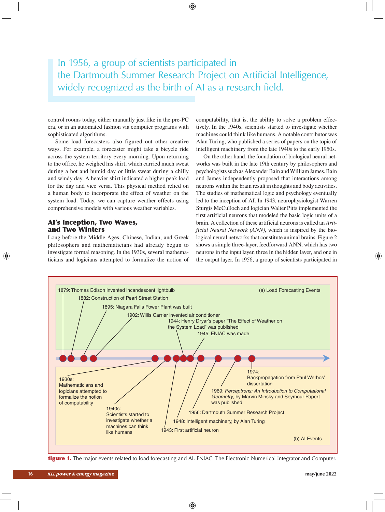# In 1956, a group of scientists participated in the Dartmouth Summer Research Project on Artificial Intelligence, widely recognized as the birth of AI as a research field.

control rooms today, either manually just like in the pre-PC era, or in an automated fashion via computer programs with sophisticated algorithms.

Some load forecasters also figured out other creative ways. For example, a forecaster might take a bicycle ride across the system territory every morning. Upon returning to the office, he weighed his shirt, which carried much sweat during a hot and humid day or little sweat during a chilly and windy day. A heavier shirt indicated a higher peak load for the day and vice versa. This physical method relied on a human body to incorporate the effect of weather on the system load. Today, we can capture weather effects using comprehensive models with various weather variables.

# AI's Inception, Two Waves, and Two Winters

Long before the Middle Ages, Chinese, Indian, and Greek philosophers and mathematicians had already begun to investigate formal reasoning. In the 1930s, several mathematicians and logicians attempted to formalize the notion of

computability, that is, the ability to solve a problem effectively. In the 1940s, scientists started to investigate whether machines could think like humans. A notable contributor was Alan Turing, who published a series of papers on the topic of intelligent machinery from the late 1940s to the early 1950s.

On the other hand, the foundation of biological neural networks was built in the late 19th century by philosophers and psychologists such as Alexander Bain and William James. Bain and James independently proposed that interactions among neurons within the brain result in thoughts and body activities. The studies of mathematical logic and psychology eventually led to the inception of AI. In 1943, neurophysiologist Warren Sturgis McCulloch and logician Walter Pitts implemented the first artificial neurons that modeled the basic logic units of a brain. A collection of these artificial neurons is called an *Artificial Neural Network (ANN)*, which is inspired by the biological neural networks that constitute animal brains. Figure 2 shows a simple three-layer, feedforward ANN, which has two neurons in the input layer, three in the hidden layer, and one in the output layer. In 1956, a group of scientists participated in



**figure 1.** The major events related to load forecasting and AI. ENIAC: The Electronic Numerical Integrator and Computer.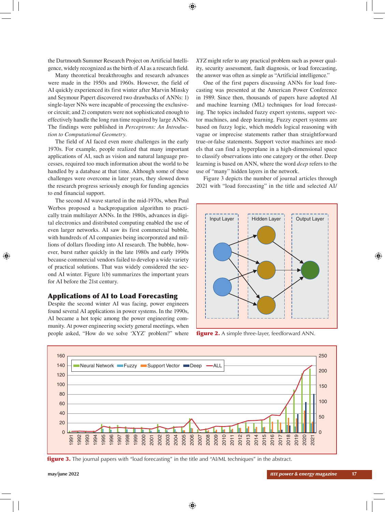the Dartmouth Summer Research Project on Artificial Intelligence, widely recognized as the birth of AI as a research field.

Many theoretical breakthroughs and research advances were made in the 1950s and 1960s. However, the field of AI quickly experienced its first winter after Marvin Minsky and Seymour Papert discovered two drawbacks of ANNs: 1) single-layer NNs were incapable of processing the exclusiveor circuit; and 2) computers were not sophisticated enough to effectively handle the long run time required by large ANNs. The findings were published in *Perceptrons: An Introduction to Computational Geometry*.

The field of AI faced even more challenges in the early 1970s. For example, people realized that many important applications of AI, such as vision and natural language processes, required too much information about the world to be handled by a database at that time. Although some of these challenges were overcome in later years, they slowed down the research progress seriously enough for funding agencies to end financial support.

The second AI wave started in the mid-1970s, when Paul Werbos proposed a backpropagation algorithm to practically train multilayer ANNs. In the 1980s, advances in digital electronics and distributed computing enabled the use of even larger networks. AI saw its first commercial bubble, with hundreds of AI companies being incorporated and millions of dollars flooding into AI research. The bubble, however, burst rather quickly in the late 1980s and early 1990s because commercial vendors failed to develop a wide variety of practical solutions. That was widely considered the second AI winter. Figure 1(b) summarizes the important years for AI before the 21st century.

#### Applications of AI to Load Forecasting

Despite the second winter AI was facing, power engineers found several AI applications in power systems. In the 1990s, AI became a hot topic among the power engineering community. At power engineering society general meetings, when people asked, "How do we solve 'XYZ' problem?" where

*XYZ* might refer to any practical problem such as power quality, security assessment, fault diagnosis, or load forecasting, the answer was often as simple as "Artificial intelligence."

One of the first papers discussing ANNs for load forecasting was presented at the American Power Conference in 1989. Since then, thousands of papers have adopted AI and machine learning (ML) techniques for load forecasting. The topics included fuzzy expert systems, support vector machines, and deep learning. Fuzzy expert systems are based on fuzzy logic, which models logical reasoning with vague or imprecise statements rather than straightforward true-or-false statements. Support vector machines are models that can find a hyperplane in a high-dimensional space to classify observations into one category or the other. Deep learning is based on ANN, where the word *deep* refers to the use of "many" hidden layers in the network.

Figure 3 depicts the number of journal articles through 2021 with "load forecasting" in the title and selected AI/



**figure 2.** A simple three-layer, feedforward ANN.



**figure 3.** The journal papers with "load forecasting" in the title and "AI/ML techniques" in the abstract.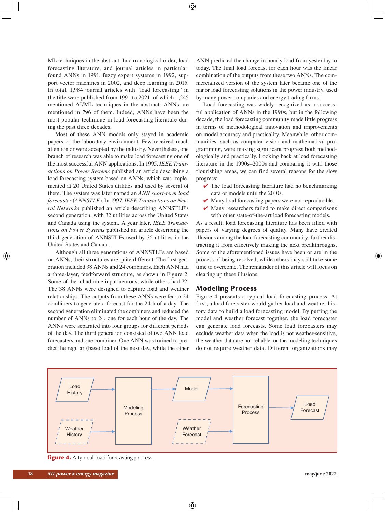ML techniques in the abstract. In chronological order, load forecasting literature, and journal articles in particular, found ANNs in 1991, fuzzy expert systems in 1992, support vector machines in 2002, and deep learning in 2015. In total, 1,984 journal articles with "load forecasting" in the title were published from 1991 to 2021, of which 1,245 mentioned AI/ML techniques in the abstract. ANNs are mentioned in 796 of them. Indeed, ANNs have been the most popular technique in load forecasting literature during the past three decades.

Most of these ANN models only stayed in academic papers or the laboratory environment. Few received much attention or were accepted by the industry. Nevertheless, one branch of research was able to make load forecasting one of the most successful ANN applications. In 1995, *IEEE Transactions on Power Systems* published an article describing a load forecasting system based on ANNs, which was implemented at 20 United States utilities and used by several of them. The system was later named an *ANN short-term load forecaster* (*ANNSTLF*). In 1997, *IEEE Transactions on Neural Networks* published an article describing ANNSTLF's second generation, with 32 utilities across the United States and Canada using the system. A year later, *IEEE Transactions on Power Systems* published an article describing the third generation of ANNSTLFs used by 35 utilities in the United States and Canada.

Although all three generations of ANNSTLFs are based on ANNs, their structures are quite different. The first generation included 38 ANNs and 24 combiners. Each ANN had a three-layer, feedforward structure, as shown in Figure 2. Some of them had nine input neurons, while others had 72. The 38 ANNs were designed to capture load and weather relationships. The outputs from these ANNs were fed to 24 combiners to generate a forecast for the 24 h of a day. The second generation eliminated the combiners and reduced the number of ANNs to 24, one for each hour of the day. The ANNs were separated into four groups for different periods of the day. The third generation consisted of two ANN load forecasters and one combiner. One ANN was trained to predict the regular (base) load of the next day, while the other ANN predicted the change in hourly load from yesterday to today. The final load forecast for each hour was the linear combination of the outputs from these two ANNs. The commercialized version of the system later became one of the major load forecasting solutions in the power industry, used by many power companies and energy trading firms.

Load forecasting was widely recognized as a successful application of ANNs in the 1990s, but in the following decade, the load forecasting community made little progress in terms of methodological innovation and improvements on model accuracy and practicality. Meanwhile, other communities, such as computer vision and mathematical programming, were making significant progress both methodologically and practically. Looking back at load forecasting literature in the 1990s–2000s and comparing it with those flourishing areas, we can find several reasons for the slow progress:

- $\vee$  The load forecasting literature had no benchmarking data or models until the 2010s.
- $\vee$  Many load forecasting papers were not reproducible.
- $\vee$  Many researchers failed to make direct comparisons with other state-of-the-art load forecasting models.

As a result, load forecasting literature has been filled with papers of varying degrees of quality. Many have created illusions among the load forecasting community, further distracting it from effectively making the next breakthroughs. Some of the aforementioned issues have been or are in the process of being resolved, while others may still take some time to overcome. The remainder of this article will focus on clearing up these illusions.

#### Modeling Process

Figure 4 presents a typical load forecasting process. At first, a load forecaster would gather load and weather history data to build a load forecasting model. By putting the model and weather forecast together, the load forecaster can generate load forecasts. Some load forecasters may exclude weather data when the load is not weather-sensitive, the weather data are not reliable, or the modeling techniques do not require weather data. Different organizations may



**figure 4.** A typical load forecasting process.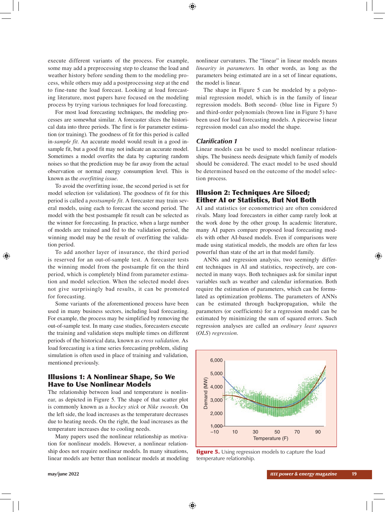execute different variants of the process. For example, some may add a preprocessing step to cleanse the load and weather history before sending them to the modeling process, while others may add a postprocessing step at the end to fine-tune the load forecast. Looking at load forecasting literature, most papers have focused on the modeling process by trying various techniques for load forecasting.

For most load forecasting techniques, the modeling processes are somewhat similar. A forecaster slices the historical data into three periods. The first is for parameter estimation (or training). The goodness of fit for this period is called in*-sample fit*. An accurate model would result in a good insample fit, but a good fit may not indicate an accurate model. Sometimes a model overfits the data by capturing random noises so that the prediction may be far away from the actual observation or normal energy consumption level. This is known as the *overfitting issue*.

To avoid the overfitting issue, the second period is set for model selection (or validation). The goodness of fit for this period is called a *postsample fit*. A forecaster may train several models, using each to forecast the second period. The model with the best postsample fit result can be selected as the winner for forecasting. In practice, when a large number of models are trained and fed to the validation period, the winning model may be the result of overfitting the validation period.

To add another layer of insurance, the third period is reserved for an out-of-sample test. A forecaster tests the winning model from the postsample fit on the third period, which is completely blind from parameter estimation and model selection. When the selected model does not give surprisingly bad results, it can be promoted for forecasting.

Some variants of the aforementioned process have been used in many business sectors, including load forecasting. For example, the process may be simplified by removing the out-of-sample test. In many case studies, forecasters execute the training and validation steps multiple times on different periods of the historical data, known as *cross validation*. As load forecasting is a time series forecasting problem, sliding simulation is often used in place of training and validation, mentioned previously.

# Illusions 1: A Nonlinear Shape, So We Have to Use Nonlinear Models

The relationship between load and temperature is nonlinear, as depicted in Figure 5. The shape of that scatter plot is commonly known as a *hockey stick* or *Nike swoosh*. On the left side, the load increases as the temperature decreases due to heating needs. On the right, the load increases as the temperature increases due to cooling needs.

Many papers used the nonlinear relationship as motivation for nonlinear models. However, a nonlinear relationship does not require nonlinear models. In many situations, linear models are better than nonlinear models at modeling nonlinear curvatures. The "linear" in linear models means *linearity in parameters*. In other words, as long as the parameters being estimated are in a set of linear equations, the model is linear.

The shape in Figure 5 can be modeled by a polynomial regression model, which is in the family of linear regression models. Both second- (blue line in Figure 5) and third-order polynomials (brown line in Figure 5) have been used for load forecasting models. A piecewise linear regression model can also model the shape.

# *Clarification 1*

Linear models can be used to model nonlinear relationships. The business needs designate which family of models should be considered. The exact model to be used should be determined based on the outcome of the model selection process.

# Illusion 2: Techniques Are Siloed; Either AI or Statistics, But Not Both

AI and statistics (or econometrics) are often considered rivals. Many load forecasters in either camp rarely look at the work done by the other group. In academic literature, many AI papers compare proposed load forecasting models with other AI-based models. Even if comparisons were made using statistical models, the models are often far less powerful than state of the art in that model family.

ANNs and regression analysis, two seemingly different techniques in AI and statistics, respectively, are connected in many ways. Both techniques ask for similar input variables such as weather and calendar information. Both require the estimation of parameters, which can be formulated as optimization problems. The parameters of ANNs can be estimated through backpropagation, while the parameters (or coefficients) for a regression model can be estimated by minimizing the sum of squared errors. Such regression analyses are called an *ordinary least squares* (*OLS*) *regression*.



figure 5. Using regression models to capture the load temperature relationship.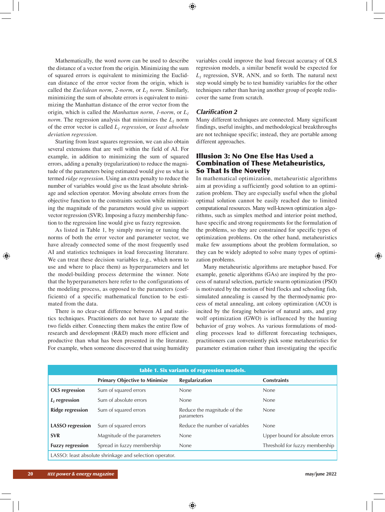Mathematically, the word *norm* can be used to describe the distance of a vector from the origin. Minimizing the sum of squared errors is equivalent to minimizing the Euclidean distance of the error vector from the origin, which is called the *Euclidean norm*,  $2$ -norm, or  $L_2$  norm. Similarly, minimizing the sum of absolute errors is equivalent to minimizing the Manhattan distance of the error vector from the origin, which is called the *Manhattan norm*, *1-norm*, or *L1 norm*. The regression analysis that minimizes the  $L_1$  norm of the error vector is called *L1 regression*, or *least absolute deviation regression*.

Starting from least squares regression, we can also obtain several extensions that are well within the field of AI. For example, in addition to minimizing the sum of squared errors, adding a penalty (regularization) to reduce the magnitude of the parameters being estimated would give us what is termed *ridge regression*. Using an extra penalty to reduce the number of variables would give us the least absolute shrinkage and selection operator. Moving absolute errors from the objective function to the constraints section while minimizing the magnitude of the parameters would give us support vector regression (SVR). Imposing a fuzzy membership function to the regression line would give us fuzzy regression.

As listed in Table 1, by simply moving or tuning the norms of both the error vector and parameter vector, we have already connected some of the most frequently used AI and statistics techniques in load forecasting literature. We can treat these decision variables (e.g., which norm to use and where to place them) as hyperparameters and let the model-building process determine the winner. Note that the hyperparameters here refer to the configurations of the modeling process, as opposed to the parameters (coefficients) of a specific mathematical function to be estimated from the data.

There is no clear-cut difference between AI and statistics techniques. Practitioners do not have to separate the two fields either. Connecting them makes the entire flow of research and development (R&D) much more efficient and productive than what has been presented in the literature. For example, when someone discovered that using humidity

variables could improve the load forecast accuracy of OLS regression models, a similar benefit would be expected for  $L_1$  regression, SVR, ANN, and so forth. The natural next step would simply be to test humidity variables for the other techniques rather than having another group of people rediscover the same from scratch.

# *Clarification 2*

Many different techniques are connected. Many significant findings, useful insights, and methodological breakthroughs are not technique specific; instead, they are portable among different approaches.

# Illusion 3: No One Else Has Used a Combination of These Metaheuristics, So That Is the Novelty

In mathematical optimization, metaheuristic algorithms aim at providing a sufficiently good solution to an optimization problem. They are especially useful when the global optimal solution cannot be easily reached due to limited computational resources. Many well-known optimization algorithms, such as simplex method and interior point method, have specific and strong requirements for the formulation of the problems, so they are constrained for specific types of optimization problems. On the other hand, metaheuristics make few assumptions about the problem formulation, so they can be widely adopted to solve many types of optimization problems.

Many metaheuristic algorithms are metaphor based. For example, genetic algorithms (GAs) are inspired by the process of natural selection, particle swarm optimization (PSO) is motivated by the motion of bird flocks and schooling fish, simulated annealing is caused by the thermodynamic process of metal annealing, ant colony optimization (ACO) is incited by the foraging behavior of natural ants, and gray wolf optimization (GWO) is influenced by the hunting behavior of gray wolves. As various formulations of modeling processes lead to different forecasting techniques, practitioners can conveniently pick some metaheuristics for parameter estimation rather than investigating the specific

| table 1. Six variants of regression models.                            |                                      |                                           |                                 |  |
|------------------------------------------------------------------------|--------------------------------------|-------------------------------------------|---------------------------------|--|
|                                                                        | <b>Primary Objective to Minimize</b> | <b>Regularization</b>                     | <b>Constraints</b>              |  |
| <b>OLS</b> regression                                                  | Sum of squared errors                | None                                      | None                            |  |
| $L_1$ regression                                                       | Sum of absolute errors               | <b>None</b>                               | None                            |  |
| <b>Ridge regression</b>                                                | Sum of squared errors                | Reduce the magnitude of the<br>parameters | None                            |  |
| <b>LASSO</b> regression                                                | Sum of squared errors                | Reduce the number of variables            | None                            |  |
| <b>SVR</b>                                                             | Magnitude of the parameters          | None                                      | Upper bound for absolute errors |  |
| <b>Fuzzy regression</b>                                                | Spread in fuzzy membership           | None                                      | Threshold for fuzzy membership  |  |
| $1 \wedge \text{CCO}$ least absolute shriplegge and selection eperator |                                      |                                           |                                 |  |

LASSO: least absolute shrinkage and selection operator.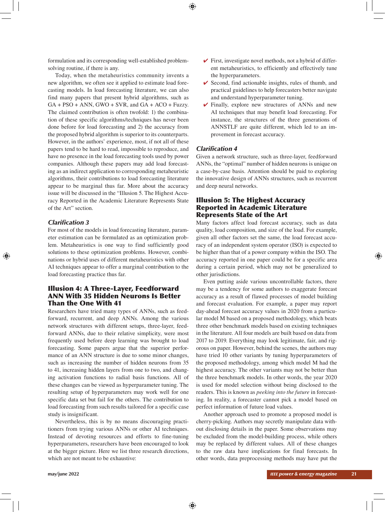formulation and its corresponding well-established problemsolving routine, if there is any.

Today, when the metaheuristics community invents a new algorithm, we often see it applied to estimate load forecasting models. In load forecasting literature, we can also find many papers that present hybrid algorithms, such as  $GA + PSO + ANN$ ,  $GWO + SVR$ , and  $GA + ACO + Fuzzy$ . The claimed contribution is often twofold: 1) the combination of these specific algorithms/techniques has never been done before for load forecasting and 2) the accuracy from the proposed hybrid algorithm is superior to its counterparts. However, in the authors' experience, most, if not all of these papers tend to be hard to read, impossible to reproduce, and have no presence in the load forecasting tools used by power companies. Although these papers may add load forecasting as an indirect application to corresponding metaheuristic algorithms, their contributions to load forecasting literature appear to be marginal thus far. More about the accuracy issue will be discussed in the "Illusion 5. The Highest Accuracy Reported in the Academic Literature Represents State of the Art" section.

# *Clarification 3*

For most of the models in load forecasting literature, parameter estimation can be formulated as an optimization problem. Metaheuristics is one way to find sufficiently good solutions to these optimization problems. However, combinations or hybrid uses of different metaheuristics with other AI techniques appear to offer a marginal contribution to the load forecasting practice thus far.

# Illusion 4: A Three-Layer, Feedforward ANN With 35 Hidden Neurons Is Better Than the One With 41

Researchers have tried many types of ANNs, such as feedforward, recurrent, and deep ANNs. Among the various network structures with different setups, three-layer, feedforward ANNs, due to their relative simplicity, were most frequently used before deep learning was brought to load forecasting. Some papers argue that the superior performance of an ANN structure is due to some minor changes, such as increasing the number of hidden neurons from 35 to 41, increasing hidden layers from one to two, and changing activation functions to radial basis functions. All of these changes can be viewed as hyperparameter tuning. The resulting setup of hyperparameters may work well for one specific data set but fail for the others. The contribution to load forecasting from such results tailored for a specific case study is insignificant.

Nevertheless, this is by no means discouraging practitioners from trying various ANNs or other AI techniques. Instead of devoting resources and efforts to fine-tuning hyperparameters, researchers have been encouraged to look at the bigger picture. Here we list three research directions, which are not meant to be exhaustive:

- $\checkmark$  First, investigate novel methods, not a hybrid of different metaheuristics, to efficiently and effectively tune the hyperparameters.
- $\checkmark$  Second, find actionable insights, rules of thumb, and practical guidelines to help forecasters better navigate and understand hyperparameter tuning.
- $\checkmark$  Finally, explore new structures of ANNs and new AI techniques that may benefit load forecasting. For instance, the structures of the three generations of ANNSTLF are quite different, which led to an improvement in forecast accuracy.

# *Clarification 4*

Given a network structure, such as three-layer, feedforward ANNs, the "optimal" number of hidden neurons is unique on a case-by-case basis. Attention should be paid to exploring the innovative design of ANNs structures, such as recurrent and deep neural networks.

# Illusion 5: The Highest Accuracy Reported in Academic Literature Represents State of the Art

Many factors affect load forecast accuracy, such as data quality, load composition, and size of the load. For example, given all other factors set the same, the load forecast accuracy of an independent system operator (ISO) is expected to be higher than that of a power company within the ISO. The accuracy reported in one paper could be for a specific area during a certain period, which may not be generalized to other jurisdictions.

Even putting aside various uncontrollable factors, there may be a tendency for some authors to exaggerate forecast accuracy as a result of flawed processes of model building and forecast evaluation. For example, a paper may report day-ahead forecast accuracy values in 2020 from a particular model M based on a proposed methodology, which beats three other benchmark models based on existing techniques in the literature. All four models are built based on data from 2017 to 2019. Everything may look legitimate, fair, and rigorous on paper. However, behind the scenes, the authors may have tried 10 other variants by tuning hyperparameters of the proposed methodology, among which model M had the highest accuracy. The other variants may not be better than the three benchmark models. In other words, the year 2020 is used for model selection without being disclosed to the readers. This is known as *peeking into the future* in forecasting. In reality, a forecaster cannot pick a model based on perfect information of future load values.

Another approach used to promote a proposed model is cherry-picking. Authors may secretly manipulate data without disclosing details in the paper. Some observations may be excluded from the model-building process, while others may be replaced by different values. All of these changes to the raw data have implications for final forecasts. In other words, data preprocessing methods may have put the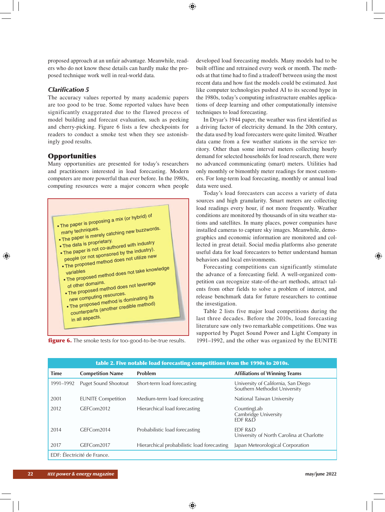proposed approach at an unfair advantage. Meanwhile, readers who do not know these details can hardly make the proposed technique work well in real-world data.

# *Clarification 5*

The accuracy values reported by many academic papers are too good to be true. Some reported values have been significantly exaggerated due to the flawed process of model building and forecast evaluation, such as peeking and cherry-picking. Figure 6 lists a few checkpoints for readers to conduct a smoke test when they see astonishingly good results.

# **Opportunities**

Many opportunities are presented for today's researchers and practitioners interested in load forecasting. Modern computers are more powerful than ever before. In the 1980s, computing resources were a major concern when people



figure 6. The smoke tests for too-good-to-be-true results.

developed load forecasting models. Many models had to be built offline and retrained every week or month. The methods at that time had to find a tradeoff between using the most recent data and how fast the models could be estimated. Just like computer technologies pushed AI to its second hype in the 1980s, today's computing infrastructure enables applications of deep learning and other computationally intensive techniques to load forecasting.

In Dryar's 1944 paper, the weather was first identified as a driving factor of electricity demand. In the 20th century, the data used by load forecasters were quite limited. Weather data came from a few weather stations in the service territory. Other than some interval meters collecting hourly demand for selected households for load research, there were no advanced communicating (smart) meters. Utilities had only monthly or bimonthly meter readings for most customers. For long-term load forecasting, monthly or annual load data were used.

Today's load forecasters can access a variety of data sources and high granularity. Smart meters are collecting load readings every hour, if not more frequently. Weather conditions are monitored by thousands of in situ weather stations and satellites. In many places, power companies have installed cameras to capture sky images. Meanwhile, demographics and economic information are monitored and collected in great detail. Social media platforms also generate useful data for load forecasters to better understand human behaviors and local environments.

Forecasting competitions can significantly stimulate the advance of a forecasting field. A well-organized competition can recognize state-of-the-art methods, attract talents from other fields to solve a problem of interest, and release benchmark data for future researchers to continue the investigation.

Table 2 lists five major load competitions during the last three decades. Before the 2010s, load forecasting literature saw only two remarkable competitions. One was supported by Puget Sound Power and Light Company in 1991–1992, and the other was organized by the EUNITE

| table 2. Five notable load forecasting competitions from the 1990s to 2010s. |                             |                                             |                                                                      |  |
|------------------------------------------------------------------------------|-----------------------------|---------------------------------------------|----------------------------------------------------------------------|--|
| <b>Time</b>                                                                  | <b>Competition Name</b>     | Problem                                     | <b>Affiliations of Winning Teams</b>                                 |  |
| 1991-1992                                                                    | <b>Puget Sound Shootout</b> | Short-term load forecasting                 | University of California, San Diego<br>Southern Methodist University |  |
| 2001                                                                         | <b>EUNITE Competition</b>   | Medium-term load forecasting                | National Taiwan University                                           |  |
| 2012                                                                         | GEFCom2012                  | Hierarchical load forecasting               | CountingLab<br>Cambridge University<br><b>EDF R&amp;D</b>            |  |
| 2014                                                                         | GEFCom2014                  | Probabilistic load forecasting              | EDF R&D<br>University of North Carolina at Charlotte                 |  |
| 2017                                                                         | GFFCom2017                  | Hierarchical probabilistic load forecasting | Japan Meteorological Corporation                                     |  |
| EDF: Électricité de France.                                                  |                             |                                             |                                                                      |  |